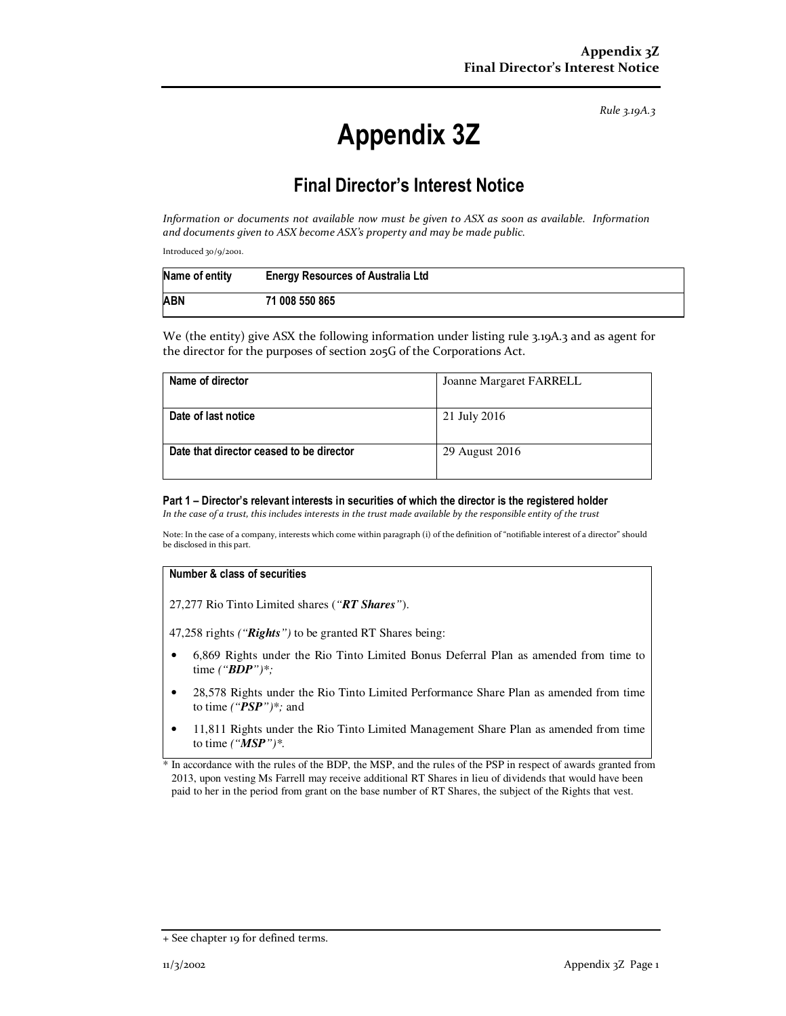*Rule 3.19A.3*

# **Appendix 3Z**

# **Final Director's Interest Notice**

*Information or documents not available now must be given to ASX as soon as available. Information and documents given to ASX become ASX's property and may be made public.* 

Introduced 30/9/2001.

| Name of entity | <b>Energy Resources of Australia Ltd</b> |
|----------------|------------------------------------------|
| <b>ABN</b>     | 71 008 550 865                           |

We (the entity) give ASX the following information under listing rule 3.19A.3 and as agent for the director for the purposes of section 205G of the Corporations Act.

| Name of director                         | Joanne Margaret FARRELL |
|------------------------------------------|-------------------------|
|                                          |                         |
| Date of last notice                      | 21 July 2016            |
| Date that director ceased to be director | 29 August 2016          |

#### **Part 1 – Director's relevant interests in securities of which the director is the registered holder**

*In the case of a trust, this includes interests in the trust made available by the responsible entity of the trust*

Note: In the case of a company, interests which come within paragraph (i) of the definition of "notifiable interest of a director" should be disclosed in this part.

#### **Number & class of securities**

27,277 Rio Tinto Limited shares (*"RT Shares"*).

47,258 rights *("Rights")* to be granted RT Shares being:

- 6,869 Rights under the Rio Tinto Limited Bonus Deferral Plan as amended from time to time *("BDP")\*;*
- 28,578 Rights under the Rio Tinto Limited Performance Share Plan as amended from time to time *("PSP")\*;* and
- 11,811 Rights under the Rio Tinto Limited Management Share Plan as amended from time to time *("MSP")\*.*

\* In accordance with the rules of the BDP, the MSP, and the rules of the PSP in respect of awards granted from 2013, upon vesting Ms Farrell may receive additional RT Shares in lieu of dividends that would have been paid to her in the period from grant on the base number of RT Shares, the subject of the Rights that vest.

<sup>+</sup> See chapter 19 for defined terms.